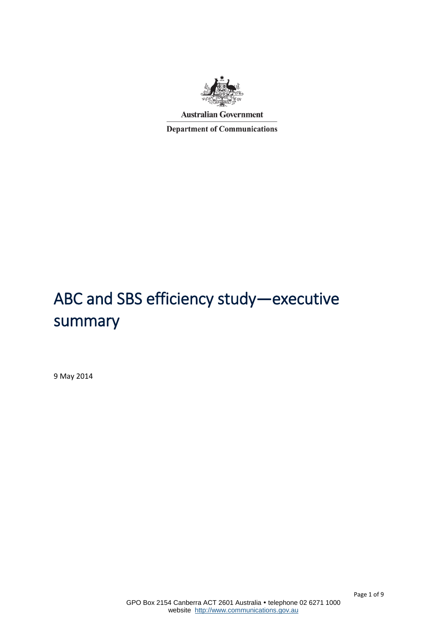

**Department of Communications** 

# ABC and SBS efficiency study—executive summary

9 May 2014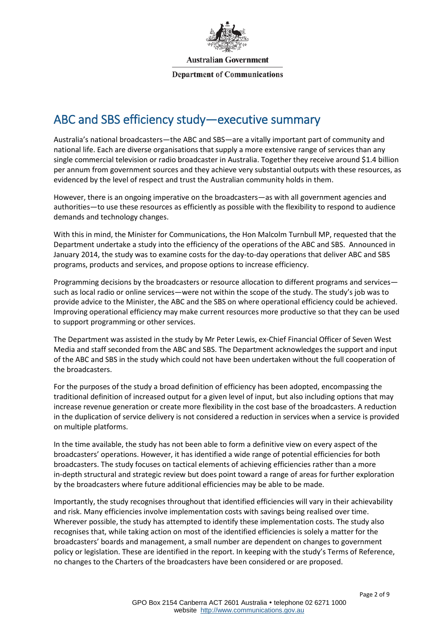

**Department of Communications** 

# ABC and SBS efficiency study—executive summary

Australia's national broadcasters—the ABC and SBS—are a vitally important part of community and national life. Each are diverse organisations that supply a more extensive range of services than any single commercial television or radio broadcaster in Australia. Together they receive around \$1.4 billion per annum from government sources and they achieve very substantial outputs with these resources, as evidenced by the level of respect and trust the Australian community holds in them.

However, there is an ongoing imperative on the broadcasters—as with all government agencies and authorities—to use these resources as efficiently as possible with the flexibility to respond to audience demands and technology changes.

With this in mind, the Minister for Communications, the Hon Malcolm Turnbull MP, requested that the Department undertake a study into the efficiency of the operations of the ABC and SBS. Announced in January 2014, the study was to examine costs for the day-to-day operations that deliver ABC and SBS programs, products and services, and propose options to increase efficiency.

Programming decisions by the broadcasters or resource allocation to different programs and services such as local radio or online services—were not within the scope of the study. The study's job was to provide advice to the Minister, the ABC and the SBS on where operational efficiency could be achieved. Improving operational efficiency may make current resources more productive so that they can be used to support programming or other services.

The Department was assisted in the study by Mr Peter Lewis, ex-Chief Financial Officer of Seven West Media and staff seconded from the ABC and SBS. The Department acknowledges the support and input of the ABC and SBS in the study which could not have been undertaken without the full cooperation of the broadcasters.

For the purposes of the study a broad definition of efficiency has been adopted, encompassing the traditional definition of increased output for a given level of input, but also including options that may increase revenue generation or create more flexibility in the cost base of the broadcasters. A reduction in the duplication of service delivery is not considered a reduction in services when a service is provided on multiple platforms.

In the time available, the study has not been able to form a definitive view on every aspect of the broadcasters' operations. However, it has identified a wide range of potential efficiencies for both broadcasters. The study focuses on tactical elements of achieving efficiencies rather than a more in-depth structural and strategic review but does point toward a range of areas for further exploration by the broadcasters where future additional efficiencies may be able to be made.

Importantly, the study recognises throughout that identified efficiencies will vary in their achievability and risk. Many efficiencies involve implementation costs with savings being realised over time. Wherever possible, the study has attempted to identify these implementation costs. The study also recognises that, while taking action on most of the identified efficiencies is solely a matter for the broadcasters' boards and management, a small number are dependent on changes to government policy or legislation. These are identified in the report. In keeping with the study's Terms of Reference, no changes to the Charters of the broadcasters have been considered or are proposed.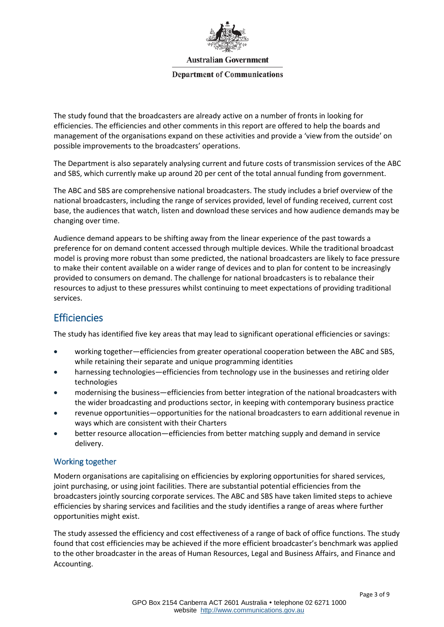

#### **Department of Communications**

The study found that the broadcasters are already active on a number of fronts in looking for efficiencies. The efficiencies and other comments in this report are offered to help the boards and management of the organisations expand on these activities and provide a 'view from the outside' on possible improvements to the broadcasters' operations.

The Department is also separately analysing current and future costs of transmission services of the ABC and SBS, which currently make up around 20 per cent of the total annual funding from government.

The ABC and SBS are comprehensive national broadcasters. The study includes a brief overview of the national broadcasters, including the range of services provided, level of funding received, current cost base, the audiences that watch, listen and download these services and how audience demands may be changing over time.

Audience demand appears to be shifting away from the linear experience of the past towards a preference for on demand content accessed through multiple devices. While the traditional broadcast model is proving more robust than some predicted, the national broadcasters are likely to face pressure to make their content available on a wider range of devices and to plan for content to be increasingly provided to consumers on demand. The challenge for national broadcasters is to rebalance their resources to adjust to these pressures whilst continuing to meet expectations of providing traditional services.

# **Efficiencies**

The study has identified five key areas that may lead to significant operational efficiencies or savings:

- working together—efficiencies from greater operational cooperation between the ABC and SBS, while retaining their separate and unique programming identities
- harnessing technologies—efficiencies from technology use in the businesses and retiring older technologies
- modernising the business—efficiencies from better integration of the national broadcasters with the wider broadcasting and productions sector, in keeping with contemporary business practice
- revenue opportunities—opportunities for the national broadcasters to earn additional revenue in ways which are consistent with their Charters
- better resource allocation—efficiencies from better matching supply and demand in service delivery.

## Working together

Modern organisations are capitalising on efficiencies by exploring opportunities for shared services, joint purchasing, or using joint facilities. There are substantial potential efficiencies from the broadcasters jointly sourcing corporate services. The ABC and SBS have taken limited steps to achieve efficiencies by sharing services and facilities and the study identifies a range of areas where further opportunities might exist.

The study assessed the efficiency and cost effectiveness of a range of back of office functions. The study found that cost efficiencies may be achieved if the more efficient broadcaster's benchmark was applied to the other broadcaster in the areas of Human Resources, Legal and Business Affairs, and Finance and Accounting.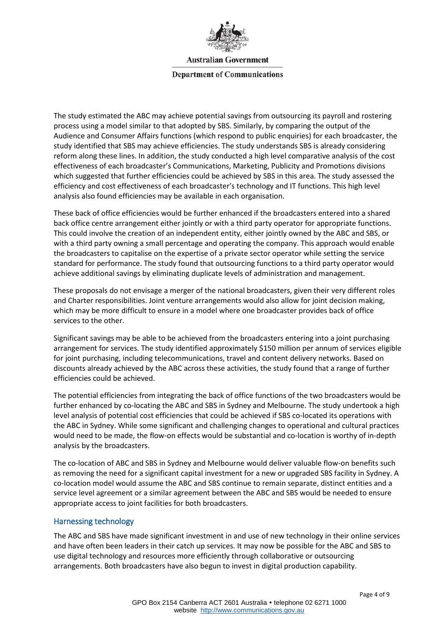

#### **Department of Communications**

The study estimated the ABC may achieve potential savings from outsourcing its payroll and rostering process using a model similar to that adopted by SBS. Similarly, by comparing the output of the Audience and Consumer Affairs functions (which respond to public enquiries) for each broadcaster, the study identified that SBS may achieve efficiencies. The study understands SBS is already considering reform along these lines. In addition, the study conducted a high level comparative analysis of the cost effectiveness of each broadcaster's Communications, Marketing, Publicity and Promotions divisions which suggested that further efficiencies could be achieved by SBS in this area. The study assessed the efficiency and cost effectiveness of each broadcaster's technology and IT functions. This high level analysis also found efficiencies may be available in each organisation.

These back of office efficiencies would be further enhanced if the broadcasters entered into a shared back office centre arrangement either jointly or with a third party operator for appropriate functions. This could involve the creation of an independent entity, either jointly owned by the ABC and SBS, or with a third party owning a small percentage and operating the company. This approach would enable the broadcasters to capitalise on the expertise of a private sector operator while setting the service standard for performance. The study found that outsourcing functions to a third party operator would achieve additional savings by eliminating duplicate levels of administration and management.

These proposals do not envisage a merger of the national broadcasters, given their very different roles and Charter responsibilities. Joint venture arrangements would also allow for joint decision making, which may be more difficult to ensure in a model where one broadcaster provides back of office services to the other.

Significant savings may be able to be achieved from the broadcasters entering into a joint purchasing arrangement for services. The study identified approximately \$150 million per annum of services eligible for joint purchasing, including telecommunications, travel and content delivery networks. Based on discounts already achieved by the ABC across these activities, the study found that a range of further efficiencies could be achieved.

The potential efficiencies from integrating the back of office functions of the two broadcasters would be further enhanced by co-locating the ABC and SBS in Sydney and Melbourne. The study undertook a high level analysis of potential cost efficiencies that could be achieved if SBS co-located its operations with the ABC in Sydney. While some significant and challenging changes to operational and cultural practices would need to be made, the flow-on effects would be substantial and co-location is worthy of in-depth analysis by the broadcasters.

The co-location of ABC and SBS in Sydney and Melbourne would deliver valuable flow-on benefits such as removing the need for a significant capital investment for a new or upgraded SBS facility in Sydney. A co-location model would assume the ABC and SBS continue to remain separate, distinct entities and a service level agreement or a similar agreement between the ABC and SBS would be needed to ensure appropriate access to joint facilities for both broadcasters.

#### Harnessing technology

The ABC and SBS have made significant investment in and use of new technology in their online services and have often been leaders in their catch up services. It may now be possible for the ABC and SBS to use digital technology and resources more efficiently through collaborative or outsourcing arrangements. Both broadcasters have also begun to invest in digital production capability.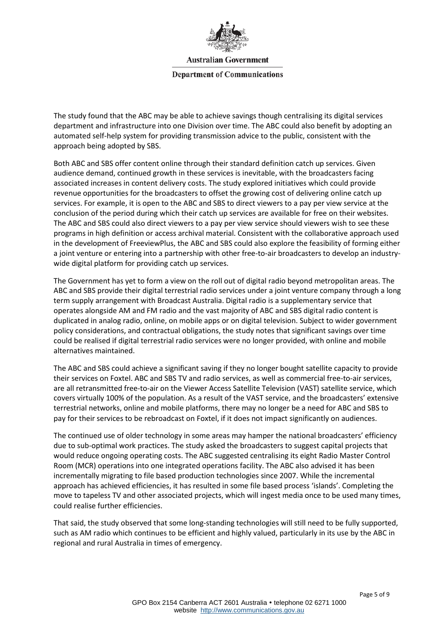

**Department of Communications** 

The study found that the ABC may be able to achieve savings though centralising its digital services department and infrastructure into one Division over time. The ABC could also benefit by adopting an automated self-help system for providing transmission advice to the public, consistent with the approach being adopted by SBS.

Both ABC and SBS offer content online through their standard definition catch up services. Given audience demand, continued growth in these services is inevitable, with the broadcasters facing associated increases in content delivery costs. The study explored initiatives which could provide revenue opportunities for the broadcasters to offset the growing cost of delivering online catch up services. For example, it is open to the ABC and SBS to direct viewers to a pay per view service at the conclusion of the period during which their catch up services are available for free on their websites. The ABC and SBS could also direct viewers to a pay per view service should viewers wish to see these programs in high definition or access archival material. Consistent with the collaborative approach used in the development of FreeviewPlus, the ABC and SBS could also explore the feasibility of forming either a joint venture or entering into a partnership with other free-to-air broadcasters to develop an industrywide digital platform for providing catch up services.

The Government has yet to form a view on the roll out of digital radio beyond metropolitan areas. The ABC and SBS provide their digital terrestrial radio services under a joint venture company through a long term supply arrangement with Broadcast Australia. Digital radio is a supplementary service that operates alongside AM and FM radio and the vast majority of ABC and SBS digital radio content is duplicated in analog radio, online, on mobile apps or on digital television. Subject to wider government policy considerations, and contractual obligations, the study notes that significant savings over time could be realised if digital terrestrial radio services were no longer provided, with online and mobile alternatives maintained.

The ABC and SBS could achieve a significant saving if they no longer bought satellite capacity to provide their services on Foxtel. ABC and SBS TV and radio services, as well as commercial free-to-air services, are all retransmitted free-to-air on the Viewer Access Satellite Television (VAST) satellite service, which covers virtually 100% of the population. As a result of the VAST service, and the broadcasters' extensive terrestrial networks, online and mobile platforms, there may no longer be a need for ABC and SBS to pay for their services to be rebroadcast on Foxtel, if it does not impact significantly on audiences.

The continued use of older technology in some areas may hamper the national broadcasters' efficiency due to sub-optimal work practices. The study asked the broadcasters to suggest capital projects that would reduce ongoing operating costs. The ABC suggested centralising its eight Radio Master Control Room (MCR) operations into one integrated operations facility. The ABC also advised it has been incrementally migrating to file based production technologies since 2007. While the incremental approach has achieved efficiencies, it has resulted in some file based process 'islands'. Completing the move to tapeless TV and other associated projects, which will ingest media once to be used many times, could realise further efficiencies.

That said, the study observed that some long-standing technologies will still need to be fully supported, such as AM radio which continues to be efficient and highly valued, particularly in its use by the ABC in regional and rural Australia in times of emergency.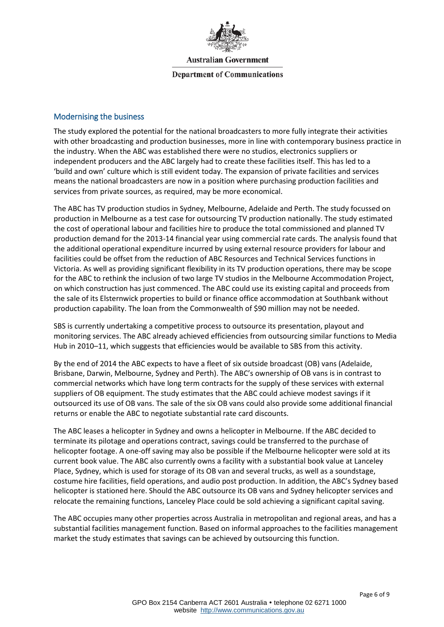

#### **Department of Communications**

#### Modernising the business

The study explored the potential for the national broadcasters to more fully integrate their activities with other broadcasting and production businesses, more in line with contemporary business practice in the industry. When the ABC was established there were no studios, electronics suppliers or independent producers and the ABC largely had to create these facilities itself. This has led to a 'build and own' culture which is still evident today. The expansion of private facilities and services means the national broadcasters are now in a position where purchasing production facilities and services from private sources, as required, may be more economical.

The ABC has TV production studios in Sydney, Melbourne, Adelaide and Perth. The study focussed on production in Melbourne as a test case for outsourcing TV production nationally. The study estimated the cost of operational labour and facilities hire to produce the total commissioned and planned TV production demand for the 2013-14 financial year using commercial rate cards. The analysis found that the additional operational expenditure incurred by using external resource providers for labour and facilities could be offset from the reduction of ABC Resources and Technical Services functions in Victoria. As well as providing significant flexibility in its TV production operations, there may be scope for the ABC to rethink the inclusion of two large TV studios in the Melbourne Accommodation Project, on which construction has just commenced. The ABC could use its existing capital and proceeds from the sale of its Elsternwick properties to build or finance office accommodation at Southbank without production capability. The loan from the Commonwealth of \$90 million may not be needed.

SBS is currently undertaking a competitive process to outsource its presentation, playout and monitoring services. The ABC already achieved efficiencies from outsourcing similar functions to Media Hub in 2010–11, which suggests that efficiencies would be available to SBS from this activity.

By the end of 2014 the ABC expects to have a fleet of six outside broadcast (OB) vans (Adelaide, Brisbane, Darwin, Melbourne, Sydney and Perth). The ABC's ownership of OB vans is in contrast to commercial networks which have long term contracts for the supply of these services with external suppliers of OB equipment. The study estimates that the ABC could achieve modest savings if it outsourced its use of OB vans. The sale of the six OB vans could also provide some additional financial returns or enable the ABC to negotiate substantial rate card discounts.

The ABC leases a helicopter in Sydney and owns a helicopter in Melbourne. If the ABC decided to terminate its pilotage and operations contract, savings could be transferred to the purchase of helicopter footage. A one-off saving may also be possible if the Melbourne helicopter were sold at its current book value. The ABC also currently owns a facility with a substantial book value at Lanceley Place, Sydney, which is used for storage of its OB van and several trucks, as well as a soundstage, costume hire facilities, field operations, and audio post production. In addition, the ABC's Sydney based helicopter is stationed here. Should the ABC outsource its OB vans and Sydney helicopter services and relocate the remaining functions, Lanceley Place could be sold achieving a significant capital saving.

The ABC occupies many other properties across Australia in metropolitan and regional areas, and has a substantial facilities management function. Based on informal approaches to the facilities management market the study estimates that savings can be achieved by outsourcing this function.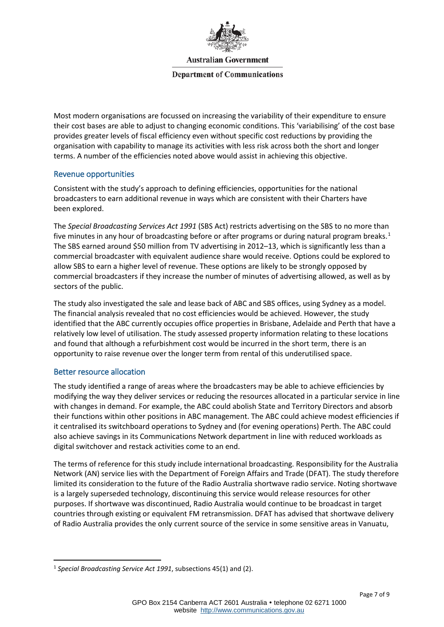

#### **Department of Communications**

Most modern organisations are focussed on increasing the variability of their expenditure to ensure their cost bases are able to adjust to changing economic conditions. This 'variabilising' of the cost base provides greater levels of fiscal efficiency even without specific cost reductions by providing the organisation with capability to manage its activities with less risk across both the short and longer terms. A number of the efficiencies noted above would assist in achieving this objective.

### Revenue opportunities

Consistent with the study's approach to defining efficiencies, opportunities for the national broadcasters to earn additional revenue in ways which are consistent with their Charters have been explored.

The *Special Broadcasting Services Act 1991* (SBS Act) restricts advertising on the SBS to no more than five minutes in any hour of broadcasting before or after programs or during natural program breaks.<sup>[1](#page-6-0)</sup> The SBS earned around \$50 million from TV advertising in 2012–13, which is significantly less than a commercial broadcaster with equivalent audience share would receive. Options could be explored to allow SBS to earn a higher level of revenue. These options are likely to be strongly opposed by commercial broadcasters if they increase the number of minutes of advertising allowed, as well as by sectors of the public.

The study also investigated the sale and lease back of ABC and SBS offices, using Sydney as a model. The financial analysis revealed that no cost efficiencies would be achieved. However, the study identified that the ABC currently occupies office properties in Brisbane, Adelaide and Perth that have a relatively low level of utilisation. The study assessed property information relating to these locations and found that although a refurbishment cost would be incurred in the short term, there is an opportunity to raise revenue over the longer term from rental of this underutilised space.

## Better resource allocation

The study identified a range of areas where the broadcasters may be able to achieve efficiencies by modifying the way they deliver services or reducing the resources allocated in a particular service in line with changes in demand. For example, the ABC could abolish State and Territory Directors and absorb their functions within other positions in ABC management. The ABC could achieve modest efficiencies if it centralised its switchboard operations to Sydney and (for evening operations) Perth. The ABC could also achieve savings in its Communications Network department in line with reduced workloads as digital switchover and restack activities come to an end.

The terms of reference for this study include international broadcasting. Responsibility for the Australia Network (AN) service lies with the Department of Foreign Affairs and Trade (DFAT). The study therefore limited its consideration to the future of the Radio Australia shortwave radio service. Noting shortwave is a largely superseded technology, discontinuing this service would release resources for other purposes. If shortwave was discontinued, Radio Australia would continue to be broadcast in target countries through existing or equivalent FM retransmission. DFAT has advised that shortwave delivery of Radio Australia provides the only current source of the service in some sensitive areas in Vanuatu,

<span id="page-6-0"></span> <sup>1</sup> *Special Broadcasting Service Act 1991*, subsections 45(1) and (2).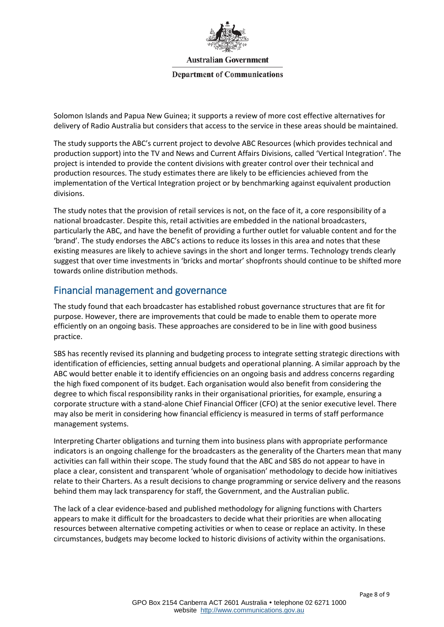

**Department of Communications** 

Solomon Islands and Papua New Guinea; it supports a review of more cost effective alternatives for delivery of Radio Australia but considers that access to the service in these areas should be maintained.

The study supports the ABC's current project to devolve ABC Resources (which provides technical and production support) into the TV and News and Current Affairs Divisions, called 'Vertical Integration'. The project is intended to provide the content divisions with greater control over their technical and production resources. The study estimates there are likely to be efficiencies achieved from the implementation of the Vertical Integration project or by benchmarking against equivalent production divisions.

The study notes that the provision of retail services is not, on the face of it, a core responsibility of a national broadcaster. Despite this, retail activities are embedded in the national broadcasters, particularly the ABC, and have the benefit of providing a further outlet for valuable content and for the 'brand'. The study endorses the ABC's actions to reduce its losses in this area and notes that these existing measures are likely to achieve savings in the short and longer terms. Technology trends clearly suggest that over time investments in 'bricks and mortar' shopfronts should continue to be shifted more towards online distribution methods.

# Financial management and governance

The study found that each broadcaster has established robust governance structures that are fit for purpose. However, there are improvements that could be made to enable them to operate more efficiently on an ongoing basis. These approaches are considered to be in line with good business practice.

SBS has recently revised its planning and budgeting process to integrate setting strategic directions with identification of efficiencies, setting annual budgets and operational planning. A similar approach by the ABC would better enable it to identify efficiencies on an ongoing basis and address concerns regarding the high fixed component of its budget. Each organisation would also benefit from considering the degree to which fiscal responsibility ranks in their organisational priorities, for example, ensuring a corporate structure with a stand-alone Chief Financial Officer (CFO) at the senior executive level. There may also be merit in considering how financial efficiency is measured in terms of staff performance management systems.

Interpreting Charter obligations and turning them into business plans with appropriate performance indicators is an ongoing challenge for the broadcasters as the generality of the Charters mean that many activities can fall within their scope. The study found that the ABC and SBS do not appear to have in place a clear, consistent and transparent 'whole of organisation' methodology to decide how initiatives relate to their Charters. As a result decisions to change programming or service delivery and the reasons behind them may lack transparency for staff, the Government, and the Australian public.

The lack of a clear evidence-based and published methodology for aligning functions with Charters appears to make it difficult for the broadcasters to decide what their priorities are when allocating resources between alternative competing activities or when to cease or replace an activity. In these circumstances, budgets may become locked to historic divisions of activity within the organisations.